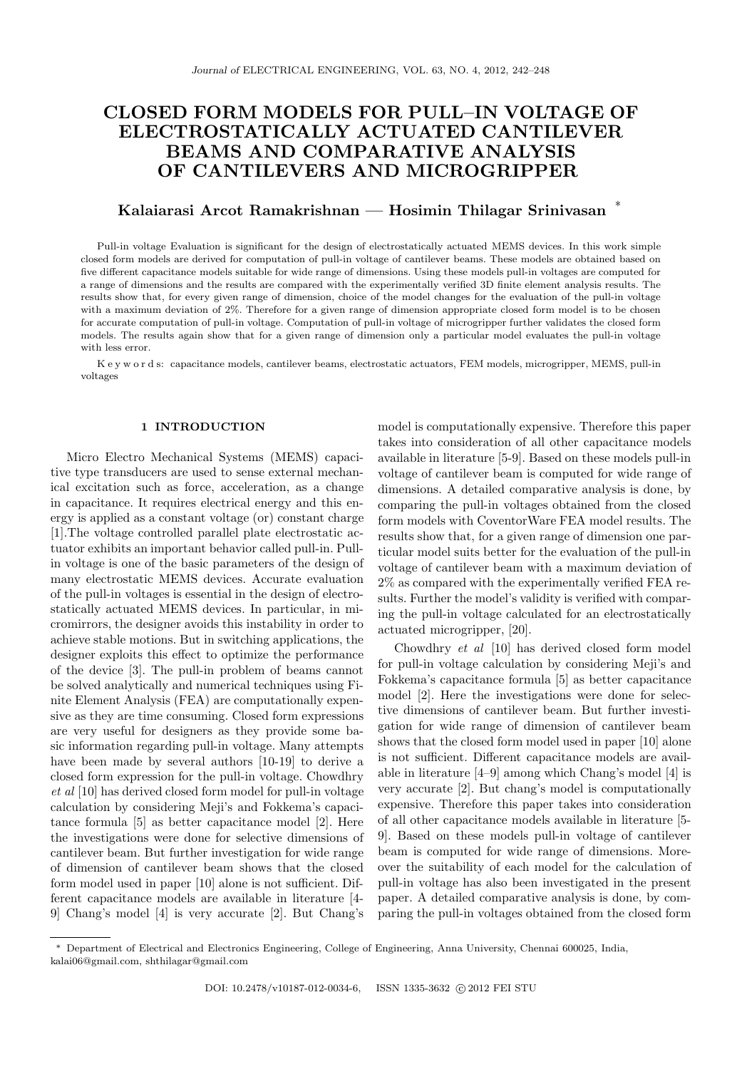# CLOSED FORM MODELS FOR PULL–IN VOLTAGE OF ELECTROSTATICALLY ACTUATED CANTILEVER BEAMS AND COMPARATIVE ANALYSIS OF CANTILEVERS AND MICROGRIPPER

#### Kalaiarasi Arcot Ramakrishnan — Hosimin Thilagar Srinivasan ∗

Pull-in voltage Evaluation is significant for the design of electrostatically actuated MEMS devices. In this work simple closed form models are derived for computation of pull-in voltage of cantilever beams. These models are obtained based on five different capacitance models suitable for wide range of dimensions. Using these models pull-in voltages are computed for a range of dimensions and the results are compared with the experimentally verified 3D finite element analysis results. The results show that, for every given range of dimension, choice of the model changes for the evaluation of the pull-in voltage with a maximum deviation of 2%. Therefore for a given range of dimension appropriate closed form model is to be chosen for accurate computation of pull-in voltage. Computation of pull-in voltage of microgripper further validates the closed form models. The results again show that for a given range of dimension only a particular model evaluates the pull-in voltage with less error.

K e y w o r d s: capacitance models, cantilever beams, electrostatic actuators, FEM models, microgripper, MEMS, pull-in voltages

#### 1 INTRODUCTION

Micro Electro Mechanical Systems (MEMS) capacitive type transducers are used to sense external mechanical excitation such as force, acceleration, as a change in capacitance. It requires electrical energy and this energy is applied as a constant voltage (or) constant charge [1].The voltage controlled parallel plate electrostatic actuator exhibits an important behavior called pull-in. Pullin voltage is one of the basic parameters of the design of many electrostatic MEMS devices. Accurate evaluation of the pull-in voltages is essential in the design of electrostatically actuated MEMS devices. In particular, in micromirrors, the designer avoids this instability in order to achieve stable motions. But in switching applications, the designer exploits this effect to optimize the performance of the device [3]. The pull-in problem of beams cannot be solved analytically and numerical techniques using Finite Element Analysis (FEA) are computationally expensive as they are time consuming. Closed form expressions are very useful for designers as they provide some basic information regarding pull-in voltage. Many attempts have been made by several authors [10-19] to derive a closed form expression for the pull-in voltage. Chowdhry et al [10] has derived closed form model for pull-in voltage calculation by considering Meji's and Fokkema's capacitance formula [5] as better capacitance model [2]. Here the investigations were done for selective dimensions of cantilever beam. But further investigation for wide range of dimension of cantilever beam shows that the closed form model used in paper [10] alone is not sufficient. Different capacitance models are available in literature [4- 9] Chang's model [4] is very accurate [2]. But Chang's model is computationally expensive. Therefore this paper takes into consideration of all other capacitance models available in literature [5-9]. Based on these models pull-in voltage of cantilever beam is computed for wide range of dimensions. A detailed comparative analysis is done, by comparing the pull-in voltages obtained from the closed form models with CoventorWare FEA model results. The results show that, for a given range of dimension one particular model suits better for the evaluation of the pull-in voltage of cantilever beam with a maximum deviation of 2% as compared with the experimentally verified FEA results. Further the model's validity is verified with comparing the pull-in voltage calculated for an electrostatically actuated microgripper, [20].

Chowdhry et al [10] has derived closed form model for pull-in voltage calculation by considering Meji's and Fokkema's capacitance formula [5] as better capacitance model [2]. Here the investigations were done for selective dimensions of cantilever beam. But further investigation for wide range of dimension of cantilever beam shows that the closed form model used in paper [10] alone is not sufficient. Different capacitance models are available in literature [4–9] among which Chang's model [4] is very accurate [2]. But chang's model is computationally expensive. Therefore this paper takes into consideration of all other capacitance models available in literature [5- 9]. Based on these models pull-in voltage of cantilever beam is computed for wide range of dimensions. Moreover the suitability of each model for the calculation of pull-in voltage has also been investigated in the present paper. A detailed comparative analysis is done, by comparing the pull-in voltages obtained from the closed form

<sup>∗</sup> Department of Electrical and Electronics Engineering, College of Engineering, Anna University, Chennai 600025, India, kalai06@gmail.com, shthilagar@gmail.com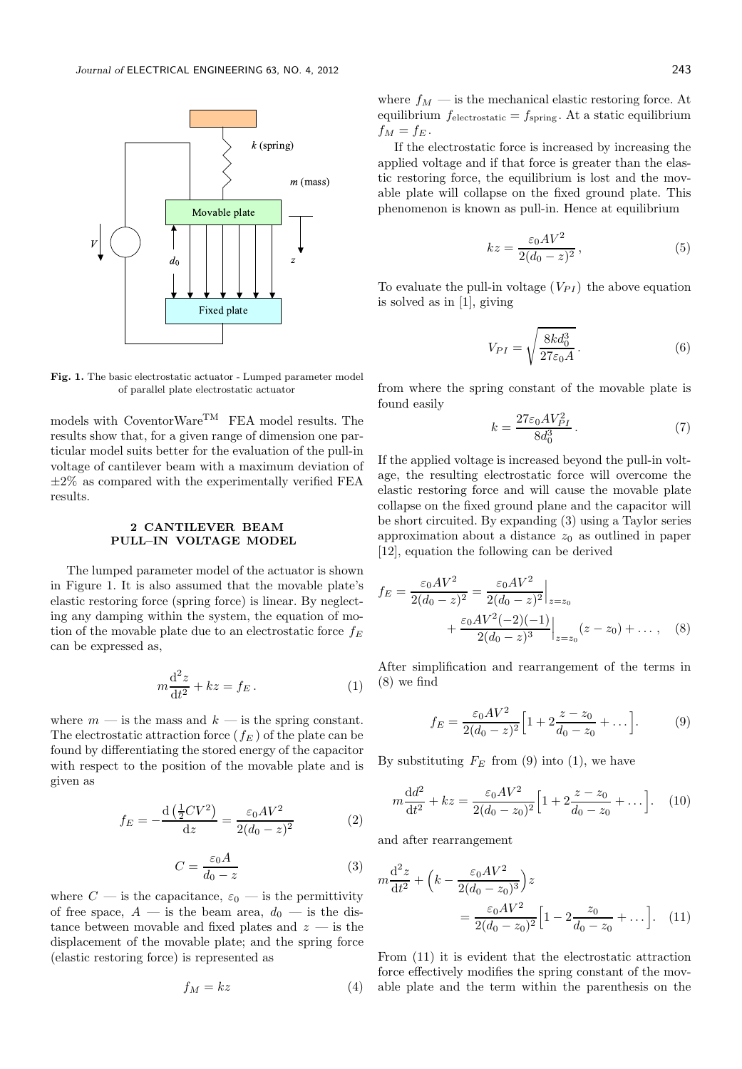

Fig. 1. The basic electrostatic actuator - Lumped parameter model of parallel plate electrostatic actuator

models with CoventorWare<sup>TM</sup> FEA model results. The results show that, for a given range of dimension one particular model suits better for the evaluation of the pull-in voltage of cantilever beam with a maximum deviation of  $\pm 2\%$  as compared with the experimentally verified FEA results.

## 2 CANTILEVER BEAM PULL–IN VOLTAGE MODEL

The lumped parameter model of the actuator is shown in Figure 1. It is also assumed that the movable plate's elastic restoring force (spring force) is linear. By neglecting any damping within the system, the equation of motion of the movable plate due to an electrostatic force  $f_E$ can be expressed as,

$$
m\frac{\mathrm{d}^2 z}{\mathrm{d}t^2} + kz = f_E. \tag{1}
$$

where  $m - i$ s the mass and  $k - i$ s the spring constant. The electrostatic attraction force  $(f_E)$  of the plate can be found by differentiating the stored energy of the capacitor with respect to the position of the movable plate and is given as

$$
f_E = -\frac{d\left(\frac{1}{2}CV^2\right)}{dz} = \frac{\varepsilon_0 AV^2}{2(d_0 - z)^2}
$$
 (2)

$$
C = \frac{\varepsilon_0 A}{d_0 - z} \tag{3}
$$

where  $C$  — is the capacitance,  $\varepsilon_0$  — is the permittivity of free space,  $A$  — is the beam area,  $d_0$  — is the distance between movable and fixed plates and  $z$  — is the displacement of the movable plate; and the spring force (elastic restoring force) is represented as

$$
f_M = kz \tag{4}
$$

where  $f_M$  — is the mechanical elastic restoring force. At equilibrium  $f_{\text{electrostatic}} = f_{\text{spring}}$ . At a static equilibrium  $f_M = f_E$ .

If the electrostatic force is increased by increasing the applied voltage and if that force is greater than the elastic restoring force, the equilibrium is lost and the movable plate will collapse on the fixed ground plate. This phenomenon is known as pull-in. Hence at equilibrium

$$
kz = \frac{\varepsilon_0 A V^2}{2(d_0 - z)^2},\tag{5}
$$

To evaluate the pull-in voltage  $(V_{PI})$  the above equation is solved as in [1], giving

$$
V_{PI} = \sqrt{\frac{8kd_0^3}{27\varepsilon_0 A}}.
$$
\n(6)

from where the spring constant of the movable plate is found easily

$$
k = \frac{27\varepsilon_0 A V_{PI}^2}{8d_0^3} \,. \tag{7}
$$

If the applied voltage is increased beyond the pull-in voltage, the resulting electrostatic force will overcome the elastic restoring force and will cause the movable plate collapse on the fixed ground plane and the capacitor will be short circuited. By expanding (3) using a Taylor series approximation about a distance  $z_0$  as outlined in paper [12], equation the following can be derived

$$
f_E = \frac{\varepsilon_0 A V^2}{2(d_0 - z)^2} = \frac{\varepsilon_0 A V^2}{2(d_0 - z)^2} \Big|_{z = z_0}
$$
  
 
$$
+ \frac{\varepsilon_0 A V^2(-2)(-1)}{2(d_0 - z)^3} \Big|_{z = z_0} (z - z_0) + \dots, \quad (8)
$$

After simplification and rearrangement of the terms in (8) we find

$$
f_E = \frac{\varepsilon_0 A V^2}{2(d_0 - z)^2} \Big[ 1 + 2 \frac{z - z_0}{d_0 - z_0} + \dots \Big].
$$
 (9)

By substituting  $F_E$  from (9) into (1), we have

$$
m\frac{\mathrm{d}d^{2}}{\mathrm{d}t^{2}} + kz = \frac{\varepsilon_{0}AV^{2}}{2(d_{0} - z_{0})^{2}} \Big[ 1 + 2\frac{z - z_{0}}{d_{0} - z_{0}} + \dots \Big]. \tag{10}
$$

and after rearrangement

m

$$
m\frac{d^2 z}{dt^2} + \left(k - \frac{\varepsilon_0 A V^2}{2(d_0 - z_0)^3}\right)z
$$
  
= 
$$
\frac{\varepsilon_0 A V^2}{2(d_0 - z_0)^2} \Big[1 - 2\frac{z_0}{d_0 - z_0} + \dots\Big].
$$
 (11)

From (11) it is evident that the electrostatic attraction force effectively modifies the spring constant of the movable plate and the term within the parenthesis on the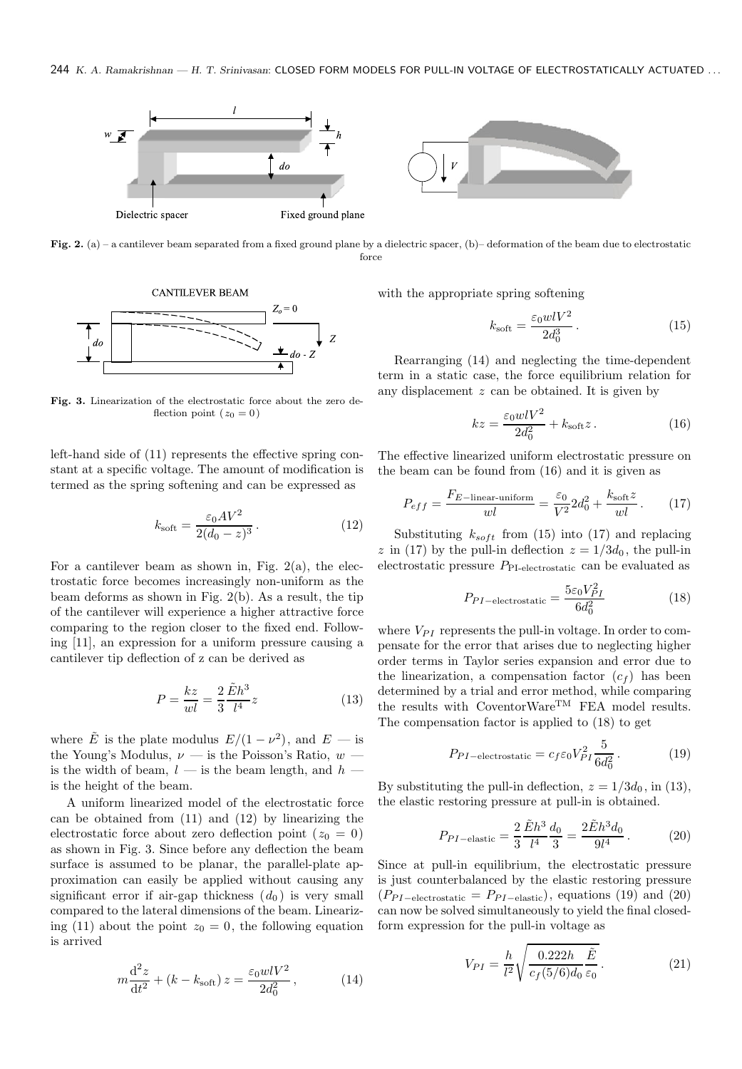

Fig. 2. (a) – a cantilever beam separated from a fixed ground plane by a dielectric spacer, (b)– deformation of the beam due to electrostatic force



Fig. 3. Linearization of the electrostatic force about the zero deflection point ( $z_0 = 0$ )

left-hand side of (11) represents the effective spring constant at a specific voltage. The amount of modification is termed as the spring softening and can be expressed as

$$
k_{\rm soft} = \frac{\varepsilon_0 A V^2}{2(d_0 - z)^3}.
$$
 (12)

For a cantilever beam as shown in, Fig.  $2(a)$ , the electrostatic force becomes increasingly non-uniform as the beam deforms as shown in Fig. 2(b). As a result, the tip of the cantilever will experience a higher attractive force comparing to the region closer to the fixed end. Following [11], an expression for a uniform pressure causing a cantilever tip deflection of z can be derived as

$$
P = \frac{kz}{wl} = \frac{2}{3} \frac{\tilde{E}h^3}{l^4} z \tag{13}
$$

where  $\tilde{E}$  is the plate modulus  $E/(1-\nu^2)$ , and  $E$  — is the Young's Modulus,  $\nu$  — is the Poisson's Ratio,  $w$  is the width of beam,  $l$  — is the beam length, and  $h$  is the height of the beam.

A uniform linearized model of the electrostatic force can be obtained from (11) and (12) by linearizing the electrostatic force about zero deflection point  $(z_0 = 0)$ as shown in Fig. 3. Since before any deflection the beam surface is assumed to be planar, the parallel-plate approximation can easily be applied without causing any significant error if air-gap thickness  $(d_0)$  is very small compared to the lateral dimensions of the beam. Linearizing (11) about the point  $z_0 = 0$ , the following equation is arrived

$$
m\frac{d^2z}{dt^2} + (k - k_{\text{soft}})z = \frac{\varepsilon_0 w l V^2}{2d_0^2},
$$
 (14)

with the appropriate spring softening

$$
k_{\rm soft} = \frac{\varepsilon_0 w l V^2}{2d_0^3} \,. \tag{15}
$$

Rearranging (14) and neglecting the time-dependent term in a static case, the force equilibrium relation for any displacement z can be obtained. It is given by

$$
kz = \frac{\varepsilon_0 w l V^2}{2d_0^2} + k_{\text{soft}} z. \tag{16}
$$

The effective linearized uniform electrostatic pressure on the beam can be found from (16) and it is given as

$$
P_{eff} = \frac{F_{E-\text{linear-uniform}}}{wl} = \frac{\varepsilon_0}{V^2} 2d_0^2 + \frac{k_{\text{soft}}z}{wl} \,. \tag{17}
$$

Substituting  $k_{soft}$  from (15) into (17) and replacing z in (17) by the pull-in deflection  $z = 1/3d_0$ , the pull-in electrostatic pressure  $P_{\text{PI-electrostatic}}$  can be evaluated as

$$
P_{PI-\text{electrostatic}} = \frac{5\varepsilon_0 V_{PI}^2}{6d_0^2} \tag{18}
$$

where  $V_{PI}$  represents the pull-in voltage. In order to compensate for the error that arises due to neglecting higher order terms in Taylor series expansion and error due to the linearization, a compensation factor  $(c_f)$  has been determined by a trial and error method, while comparing the results with  $\text{CoverWare}^{\text{TM}}$  FEA model results. The compensation factor is applied to (18) to get

$$
P_{PI-\text{electrostatic}} = c_f \varepsilon_0 V_{PI}^2 \frac{5}{6d_0^2} \,. \tag{19}
$$

By substituting the pull-in deflection,  $z = 1/3d_0$ , in (13), the elastic restoring pressure at pull-in is obtained.

$$
P_{PI-\text{elastic}} = \frac{2}{3} \frac{\tilde{E}h^3}{l^4} \frac{d_0}{3} = \frac{2\tilde{E}h^3 d_0}{9l^4} \,. \tag{20}
$$

Since at pull-in equilibrium, the electrostatic pressure is just counterbalanced by the elastic restoring pressure  $(P_{PI-electrostatic} = P_{PI-elastic})$ , equations (19) and (20) can now be solved simultaneously to yield the final closedform expression for the pull-in voltage as

$$
V_{PI} = \frac{h}{l^2} \sqrt{\frac{0.222h}{c_f(5/6)d_0} \frac{\tilde{E}}{\varepsilon_0}}.
$$
 (21)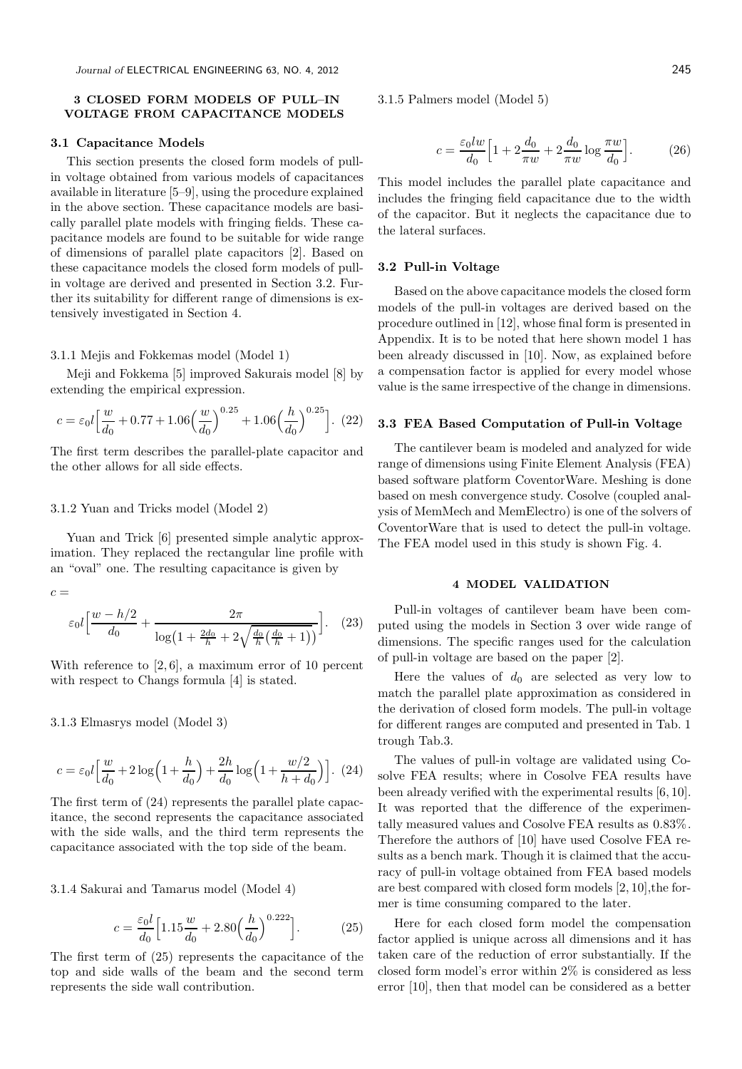# 3 CLOSED FORM MODELS OF PULL–IN VOLTAGE FROM CAPACITANCE MODELS

#### 3.1 Capacitance Models

This section presents the closed form models of pullin voltage obtained from various models of capacitances available in literature [5–9], using the procedure explained in the above section. These capacitance models are basically parallel plate models with fringing fields. These capacitance models are found to be suitable for wide range of dimensions of parallel plate capacitors [2]. Based on these capacitance models the closed form models of pullin voltage are derived and presented in Section 3.2. Further its suitability for different range of dimensions is extensively investigated in Section 4.

#### 3.1.1 Mejis and Fokkemas model (Model 1)

Meii and Fokkema [5] improved Sakurais model [8] by extending the empirical expression.

$$
c = \varepsilon_0 l \left[ \frac{w}{d_0} + 0.77 + 1.06 \left( \frac{w}{d_0} \right)^{0.25} + 1.06 \left( \frac{h}{d_0} \right)^{0.25} \right]. \tag{22}
$$

The first term describes the parallel-plate capacitor and the other allows for all side effects.

#### 3.1.2 Yuan and Tricks model (Model 2)

Yuan and Trick [6] presented simple analytic approximation. They replaced the rectangular line profile with an "oval" one. The resulting capacitance is given by

 $c =$ 

$$
\varepsilon_0 l \left[ \frac{w - h/2}{d_0} + \frac{2\pi}{\log(1 + \frac{2d_0}{h} + 2\sqrt{\frac{d_0}{h}(\frac{d_0}{h} + 1)})} \right].
$$
 (23)

With reference to  $[2, 6]$ , a maximum error of 10 percent with respect to Changs formula [4] is stated.

3.1.3 Elmasrys model (Model 3)

$$
c = \varepsilon_0 l \left[ \frac{w}{d_0} + 2 \log \left( 1 + \frac{h}{d_0} \right) + \frac{2h}{d_0} \log \left( 1 + \frac{w/2}{h + d_0} \right) \right]. \tag{24}
$$

The first term of (24) represents the parallel plate capacitance, the second represents the capacitance associated with the side walls, and the third term represents the capacitance associated with the top side of the beam.

3.1.4 Sakurai and Tamarus model (Model 4)

$$
c = \frac{\varepsilon_0 l}{d_0} \Big[ 1.15 \frac{w}{d_0} + 2.80 \Big( \frac{h}{d_0} \Big)^{0.222} \Big].
$$
 (25)

The first term of (25) represents the capacitance of the top and side walls of the beam and the second term represents the side wall contribution.

3.1.5 Palmers model (Model 5)

$$
c = \frac{\varepsilon_0 lw}{d_0} \Big[ 1 + 2\frac{d_0}{\pi w} + 2\frac{d_0}{\pi w} \log \frac{\pi w}{d_0} \Big].
$$
 (26)

This model includes the parallel plate capacitance and includes the fringing field capacitance due to the width of the capacitor. But it neglects the capacitance due to the lateral surfaces.

## 3.2 Pull-in Voltage

Based on the above capacitance models the closed form models of the pull-in voltages are derived based on the procedure outlined in [12], whose final form is presented in Appendix. It is to be noted that here shown model 1 has been already discussed in [10]. Now, as explained before a compensation factor is applied for every model whose value is the same irrespective of the change in dimensions.

#### 3.3 FEA Based Computation of Pull-in Voltage

The cantilever beam is modeled and analyzed for wide range of dimensions using Finite Element Analysis (FEA) based software platform CoventorWare. Meshing is done based on mesh convergence study. Cosolve (coupled analysis of MemMech and MemElectro) is one of the solvers of CoventorWare that is used to detect the pull-in voltage. The FEA model used in this study is shown Fig. 4.

#### 4 MODEL VALIDATION

Pull-in voltages of cantilever beam have been computed using the models in Section 3 over wide range of dimensions. The specific ranges used for the calculation of pull-in voltage are based on the paper [2].

Here the values of  $d_0$  are selected as very low to match the parallel plate approximation as considered in the derivation of closed form models. The pull-in voltage for different ranges are computed and presented in Tab. 1 trough Tab.3.

The values of pull-in voltage are validated using Cosolve FEA results; where in Cosolve FEA results have been already verified with the experimental results [6, 10]. It was reported that the difference of the experimentally measured values and Cosolve FEA results as 0.83%. Therefore the authors of [10] have used Cosolve FEA results as a bench mark. Though it is claimed that the accuracy of pull-in voltage obtained from FEA based models are best compared with closed form models [2, 10],the former is time consuming compared to the later.

Here for each closed form model the compensation factor applied is unique across all dimensions and it has taken care of the reduction of error substantially. If the closed form model's error within 2% is considered as less error [10], then that model can be considered as a better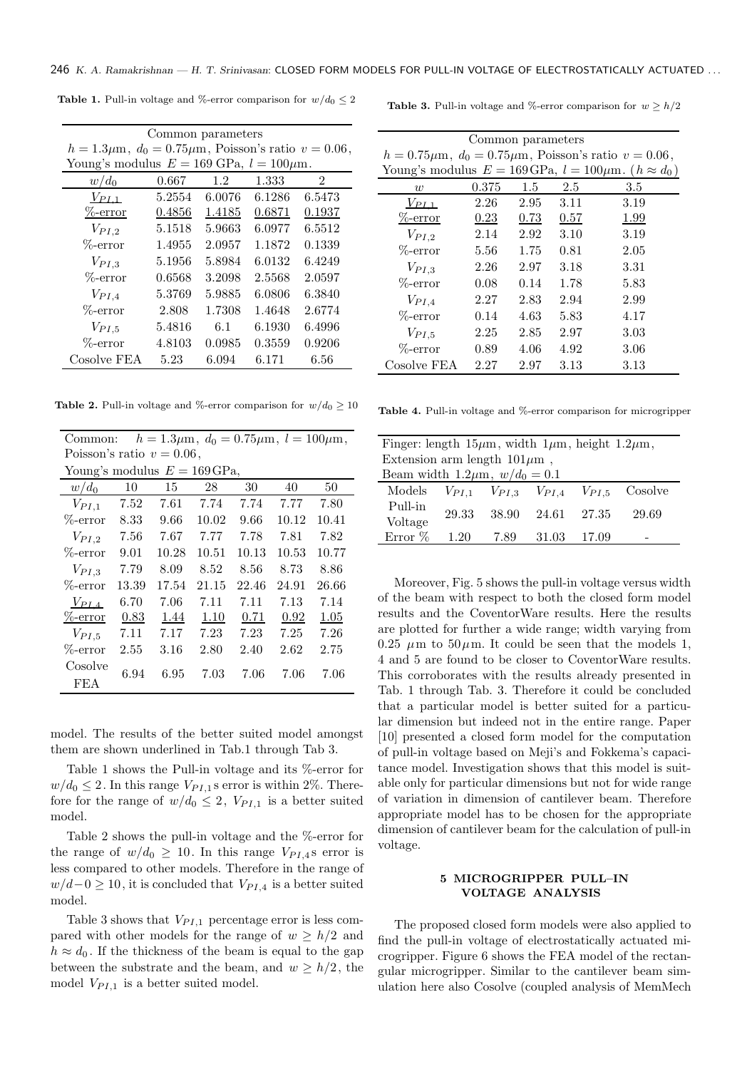| Common parameters                                                                 |        |        |        |                |  |  |
|-----------------------------------------------------------------------------------|--------|--------|--------|----------------|--|--|
| $h = 1.3 \mu \text{m}$ , $d_0 = 0.75 \mu \text{m}$ , Poisson's ratio $v = 0.06$ , |        |        |        |                |  |  |
| Young's modulus $E = 169$ GPa, $l = 100 \mu$ m.                                   |        |        |        |                |  |  |
| $w/d_0$                                                                           | 0.667  | 1.2    | 1.333  | $\overline{2}$ |  |  |
| $V_{PL1}$                                                                         | 5.2554 | 6.0076 | 6.1286 | 6.5473         |  |  |
| $\%$ -error                                                                       | 0.4856 | 1.4185 | 0.6871 | 0.1937         |  |  |
| $V_{PI,2}$                                                                        | 5.1518 | 5.9663 | 6.0977 | 6.5512         |  |  |
| $\%$ -error                                                                       | 1.4955 | 2.0957 | 1.1872 | 0.1339         |  |  |
| $V_{PI,3}$                                                                        | 5.1956 | 5.8984 | 6.0132 | 6.4249         |  |  |
| $\%$ -error                                                                       | 0.6568 | 3.2098 | 2.5568 | 2.0597         |  |  |
| $V_{PI,4}$                                                                        | 5.3769 | 5.9885 | 6.0806 | 6.3840         |  |  |
| $\%$ -error                                                                       | 2.808  | 1.7308 | 1.4648 | 2.6774         |  |  |
| $V_{PI,5}$                                                                        | 5.4816 | 6.1    | 6.1930 | 6.4996         |  |  |
| $\%$ -error                                                                       | 4.8103 | 0.0985 | 0.3559 | 0.9206         |  |  |
| Cosolve FEA                                                                       | 5.23   | 6.094  | 6.171  | 6.56           |  |  |
|                                                                                   |        |        |        |                |  |  |

**Table 1.** Pull-in voltage and %-error comparison for  $w/d_0 \leq 2$ 

**Table 3.** Pull-in voltage and %-error comparison for  $w \ge h/2$ 

| Common parameters                                                                  |       |      |      |      |  |
|------------------------------------------------------------------------------------|-------|------|------|------|--|
| $h = 0.75 \mu \text{m}$ , $d_0 = 0.75 \mu \text{m}$ , Poisson's ratio $v = 0.06$ , |       |      |      |      |  |
| Young's modulus $E = 169 \text{GPa}, l = 100 \mu \text{m}. (h \approx d_0)$        |       |      |      |      |  |
| w                                                                                  | 0.375 | 1.5  | 2.5  | 3.5  |  |
| $V_{PL,1}$                                                                         | 2.26  | 2.95 | 3.11 | 3.19 |  |
| $%$ -error                                                                         | 0.23  | 0.73 | 0.57 | 1.99 |  |
| $V_{PI,2}$                                                                         | 2.14  | 2.92 | 3.10 | 3.19 |  |
| $\%$ -error                                                                        | 5.56  | 1.75 | 0.81 | 2.05 |  |
| $V_{PI,3}$                                                                         | 2.26  | 2.97 | 3.18 | 3.31 |  |
| $\%$ -error                                                                        | 0.08  | 0.14 | 1.78 | 5.83 |  |
| $V_{PI,4}$                                                                         | 2.27  | 2.83 | 2.94 | 2.99 |  |
| $\%$ -error                                                                        | 0.14  | 4.63 | 5.83 | 4.17 |  |
| $V_{PI,5}$                                                                         | 2.25  | 2.85 | 2.97 | 3.03 |  |
| $\%$ -error                                                                        | 0.89  | 4.06 | 4.92 | 3.06 |  |
| Cosolve FEA                                                                        | 2.27  | 2.97 | 3.13 | 3.13 |  |

**Table 2.** Pull-in voltage and %-error comparison for  $w/d_0 > 10$ 

|                              | Common: $h = 1.3 \mu \text{m}$ , $d_0 = 0.75 \mu \text{m}$ , $l = 100 \mu \text{m}$ , |  |
|------------------------------|---------------------------------------------------------------------------------------|--|
| Poisson's ratio $v = 0.06$ , |                                                                                       |  |
|                              |                                                                                       |  |

| Young's modulus $E = 169$ GPa, |       |       |       |       |       |       |
|--------------------------------|-------|-------|-------|-------|-------|-------|
| $w/d_0$                        | 10    | 15    | 28    | 30    | 40    | 50    |
| $V_{PI,1}$                     | 7.52  | 7.61  | 7.74  | 7.74  | 7.77  | 7.80  |
| $\%$ -error                    | 8.33  | 9.66  | 10.02 | 9.66  | 10.12 | 10.41 |
| $V_{PI,2}$                     | 7.56  | 7.67  | 7.77  | 7.78  | 7.81  | 7.82  |
| $\%$ -error                    | 9.01  | 10.28 | 10.51 | 10.13 | 10.53 | 10.77 |
| $V_{PI,3}$                     | 7.79  | 8.09  | 8.52  | 8.56  | 8.73  | 8.86  |
| $\%$ -error                    | 13.39 | 17.54 | 21.15 | 22.46 | 24.91 | 26.66 |
| $V_{PL,4}$                     | 6.70  | 7.06  | 7.11  | 7.11  | 7.13  | 7.14  |
| $\%$ -error                    | 0.83  | 1.44  | 1.10  | 0.71  | 0.92  | 1.05  |
| $V_{PI,5}$                     | 7.11  | 7.17  | 7.23  | 7.23  | 7.25  | 7.26  |
| $\%$ -error                    | 2.55  | 3.16  | 2.80  | 2.40  | 2.62  | 2.75  |
| Cosolve                        | 6.94  | 6.95  | 7.03  | 7.06  | 7.06  | 7.06  |
| FEA                            |       |       |       |       |       |       |

model. The results of the better suited model amongst them are shown underlined in Tab.1 through Tab 3.

Table 1 shows the Pull-in voltage and its %-error for  $w/d_0 \leq 2$ . In this range  $V_{PI,1}$  s error is within 2%. Therefore for the range of  $w/d_0 \leq 2$ ,  $V_{PI,1}$  is a better suited model.

Table 2 shows the pull-in voltage and the %-error for the range of  $w/d_0 \geq 10$ . In this range  $V_{PI,4}$ s error is less compared to other models. Therefore in the range of  $w/d-0 \geq 10$ , it is concluded that  $V_{PI,4}$  is a better suited model.

Table 3 shows that  $V_{PI,1}$  percentage error is less compared with other models for the range of  $w \geq h/2$  and  $h \approx d_0$ . If the thickness of the beam is equal to the gap between the substrate and the beam, and  $w \geq h/2$ , the model  $V_{PI,1}$  is a better suited model.

Table 4. Pull-in voltage and %-error comparison for microgripper

| Finger: length $15\mu m$ , width $1\mu m$ , height $1.2\mu m$ , |       |        |                                             |         |         |
|-----------------------------------------------------------------|-------|--------|---------------------------------------------|---------|---------|
| Extension arm length $101 \mu m$ ,                              |       |        |                                             |         |         |
| Beam width 1.2 $\mu$ m, $w/d_0 = 0.1$                           |       |        |                                             |         |         |
| Models                                                          |       |        | $V_{PI,1}$ $V_{PI,3}$ $V_{PI,4}$ $V_{PI,5}$ |         | Cosolve |
| Pull-in                                                         | 29.33 | -38.90 | 24.61                                       | - 27.35 | 29.69   |
| Voltage                                                         |       |        |                                             |         |         |
| Error $%$                                                       | 1.20  | 7.89   | 31.03                                       | 17.09   |         |

Moreover, Fig. 5 shows the pull-in voltage versus width of the beam with respect to both the closed form model results and the CoventorWare results. Here the results are plotted for further a wide range; width varying from 0.25  $\mu$ m to 50 $\mu$ m. It could be seen that the models 1, 4 and 5 are found to be closer to CoventorWare results. This corroborates with the results already presented in Tab. 1 through Tab. 3. Therefore it could be concluded that a particular model is better suited for a particular dimension but indeed not in the entire range. Paper [10] presented a closed form model for the computation of pull-in voltage based on Meji's and Fokkema's capacitance model. Investigation shows that this model is suitable only for particular dimensions but not for wide range of variation in dimension of cantilever beam. Therefore appropriate model has to be chosen for the appropriate dimension of cantilever beam for the calculation of pull-in voltage.

#### 5 MICROGRIPPER PULL–IN VOLTAGE ANALYSIS

The proposed closed form models were also applied to find the pull-in voltage of electrostatically actuated microgripper. Figure 6 shows the FEA model of the rectangular microgripper. Similar to the cantilever beam simulation here also Cosolve (coupled analysis of MemMech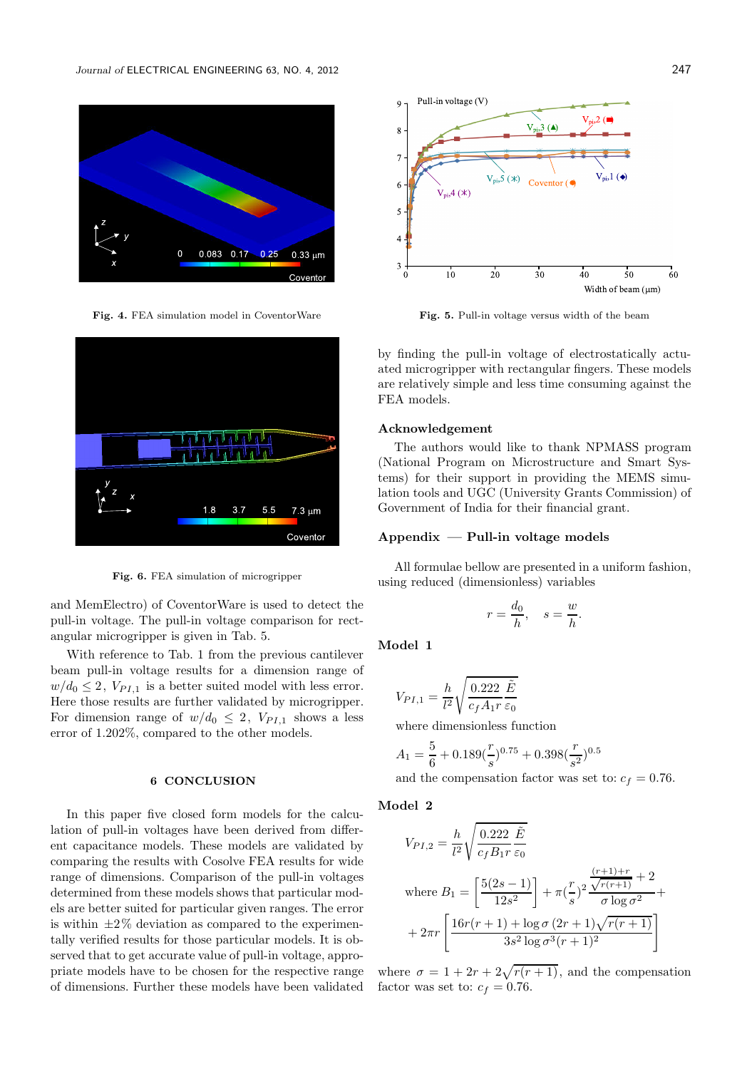



Fig. 6. FEA simulation of microgripper

and MemElectro) of CoventorWare is used to detect the pull-in voltage. The pull-in voltage comparison for rectangular microgripper is given in Tab. 5.

With reference to Tab. 1 from the previous cantilever beam pull-in voltage results for a dimension range of  $w/d_0 \leq 2$ ,  $V_{PI,1}$  is a better suited model with less error. Here those results are further validated by microgripper. For dimension range of  $w/d_0 \leq 2$ ,  $V_{PI,1}$  shows a less error of 1.202%, compared to the other models.

#### 6 CONCLUSION

In this paper five closed form models for the calculation of pull-in voltages have been derived from different capacitance models. These models are validated by comparing the results with Cosolve FEA results for wide range of dimensions. Comparison of the pull-in voltages determined from these models shows that particular models are better suited for particular given ranges. The error is within  $\pm 2\%$  deviation as compared to the experimentally verified results for those particular models. It is observed that to get accurate value of pull-in voltage, appropriate models have to be chosen for the respective range of dimensions. Further these models have been validated



Fig. 4. FEA simulation model in CoventorWare Fig. 5. Pull-in voltage versus width of the beam

by finding the pull-in voltage of electrostatically actuated microgripper with rectangular fingers. These models are relatively simple and less time consuming against the FEA models.

#### Acknowledgement

The authors would like to thank NPMASS program (National Program on Microstructure and Smart Systems) for their support in providing the MEMS simulation tools and UGC (University Grants Commission) of Government of India for their financial grant.

#### $Appendix$  — Pull-in voltage models

All formulae bellow are presented in a uniform fashion, using reduced (dimensionless) variables

$$
r = \frac{d_0}{h}, \quad s = \frac{w}{h}.
$$

Model 1

$$
V_{PI,1} = \frac{h}{l^2} \sqrt{\frac{0.222 \tilde{E}}{c_f A_1 r} \tilde{\varepsilon}_0}
$$

where dimensionless function

$$
A_1 = \frac{5}{6} + 0.189(\frac{r}{s})^{0.75} + 0.398(\frac{r}{s^2})^{0.5}
$$

and the compensation factor was set to:  $c_f = 0.76$ .

Model 2

$$
V_{PI,2} = \frac{h}{l^2} \sqrt{\frac{0.222 \tilde{E}}{c_f B_1 r \epsilon_0}}
$$
  
where  $B_1 = \left[\frac{5(2s-1)}{12s^2}\right] + \pi \left(\frac{r}{s}\right)^2 \frac{\sqrt{r(r+1)} + 2}{\sigma \log \sigma^2} +$   
 $+ 2\pi r \left[\frac{16r(r+1) + \log \sigma (2r+1)\sqrt{r(r+1)}}{3s^2 \log \sigma^3 (r+1)^2}\right]$ 

where  $\sigma = 1 + 2r + 2\sqrt{r(r+1)}$ , and the compensation factor was set to:  $c_f = 0.76$ .